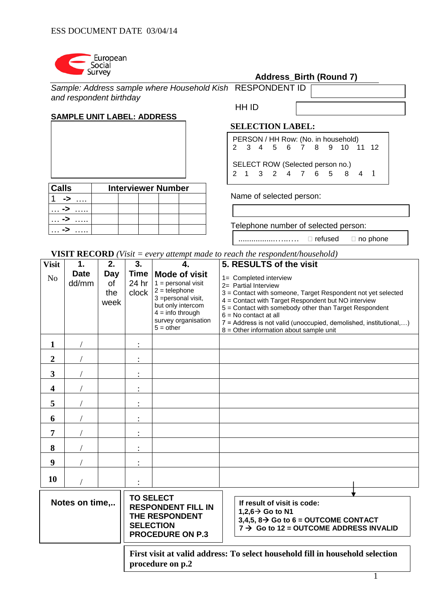

| <b>Address_Birth (Round 7)</b> |
|--------------------------------|
|--------------------------------|

| Sample: Address sample where Household Kish RESPONDENT ID |  |
|-----------------------------------------------------------|--|
| and respondent birthday                                   |  |

# **SAMPLE UNIT LABEL: ADDRESS**

| <b>Calls</b> |  | <b>Interviewer Number</b> |  |
|--------------|--|---------------------------|--|
|              |  |                           |  |
|              |  |                           |  |
|              |  |                           |  |
|              |  |                           |  |

HH ID

# **SELECTION LABEL:**

|  |  |                                  |  | PERSON / HH Row: (No. in household)<br>2 3 4 5 6 7 8 9 10 11 12 |  |
|--|--|----------------------------------|--|-----------------------------------------------------------------|--|
|  |  |                                  |  |                                                                 |  |
|  |  | SELECT ROW (Selected person no.) |  |                                                                 |  |
|  |  |                                  |  | 2 1 3 2 4 7 6 5 8 4 1                                           |  |
|  |  |                                  |  |                                                                 |  |

Name of selected person:

Telephone number of selected person:

.................…..…. refused no phone

**VISIT RECORD** *(Visit = every attempt made to reach the respondent/household)*

**procedure on p.2**

| <b>Visit</b>            | 1.                   | 2.                       | 3.                            | 4.                                                                                                                                                                      | 5. RESULTS of the visit                                                                                                                                                                                                                                                                                                                                                      |  |  |  |
|-------------------------|----------------------|--------------------------|-------------------------------|-------------------------------------------------------------------------------------------------------------------------------------------------------------------------|------------------------------------------------------------------------------------------------------------------------------------------------------------------------------------------------------------------------------------------------------------------------------------------------------------------------------------------------------------------------------|--|--|--|
| N <sub>o</sub>          | <b>Date</b><br>dd/mm | Day<br>0f<br>the<br>week | <b>Time</b><br>24 hr<br>clock | <b>Mode of visit</b><br>$1 =$ personal visit<br>$2 =$ telephone<br>3 = personal visit,<br>but only intercom<br>$4 =$ info through<br>survey organisation<br>$5 = other$ | 1= Completed interview<br>2= Partial Interview<br>3 = Contact with someone, Target Respondent not yet selected<br>4 = Contact with Target Respondent but NO interview<br>5 = Contact with somebody other than Target Respondent<br>$6 = No$ contact at all<br>7 = Address is not valid (unoccupied, demolished, institutional,)<br>$8 =$ Other information about sample unit |  |  |  |
| 1                       |                      |                          |                               |                                                                                                                                                                         |                                                                                                                                                                                                                                                                                                                                                                              |  |  |  |
| $\overline{2}$          |                      |                          |                               |                                                                                                                                                                         |                                                                                                                                                                                                                                                                                                                                                                              |  |  |  |
| 3                       |                      |                          |                               |                                                                                                                                                                         |                                                                                                                                                                                                                                                                                                                                                                              |  |  |  |
| $\overline{\mathbf{4}}$ |                      |                          |                               |                                                                                                                                                                         |                                                                                                                                                                                                                                                                                                                                                                              |  |  |  |
| 5                       |                      |                          |                               |                                                                                                                                                                         |                                                                                                                                                                                                                                                                                                                                                                              |  |  |  |
| 6                       |                      |                          |                               |                                                                                                                                                                         |                                                                                                                                                                                                                                                                                                                                                                              |  |  |  |
| 7                       |                      |                          |                               |                                                                                                                                                                         |                                                                                                                                                                                                                                                                                                                                                                              |  |  |  |
| 8                       |                      |                          |                               |                                                                                                                                                                         |                                                                                                                                                                                                                                                                                                                                                                              |  |  |  |
| 9                       |                      |                          |                               |                                                                                                                                                                         |                                                                                                                                                                                                                                                                                                                                                                              |  |  |  |
| 10                      |                      |                          |                               |                                                                                                                                                                         |                                                                                                                                                                                                                                                                                                                                                                              |  |  |  |
|                         | Notes on time,       |                          | <b>TO SELECT</b>              | <b>RESPONDENT FILL IN</b><br>THE RESPONDENT<br><b>SELECTION</b><br><b>PROCEDURE ON P.3</b>                                                                              | If result of visit is code:<br>1,2,6 $\rightarrow$ Go to N1<br>3,4,5, $8 \rightarrow$ Go to 6 = OUTCOME CONTACT<br>$7 \rightarrow$ Go to 12 = OUTCOME ADDRESS INVALID                                                                                                                                                                                                        |  |  |  |
|                         |                      |                          |                               |                                                                                                                                                                         | First visit at valid address: To select household fill in household selection                                                                                                                                                                                                                                                                                                |  |  |  |

1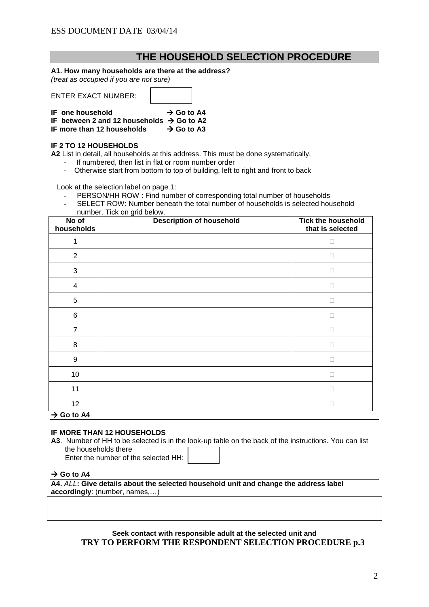# **THE HOUSEHOLD SELECTION PROCEDURE**

## **A1. How many households are there at the address?**

*(treat as occupied if you are not sure)*

| IF one household                                      | $\rightarrow$ Go to A4 |  |
|-------------------------------------------------------|------------------------|--|
| IF between 2 and 12 households $\rightarrow$ Go to A2 |                        |  |
| IF more than 12 households                            | $\rightarrow$ Go to A3 |  |

### **IF 2 TO 12 HOUSEHOLDS**

**A2** List in detail, all households at this address. This must be done systematically.

- If numbered, then list in flat or room number order<br>- Otherwise start from bottom to top of building left to
- Otherwise start from bottom to top of building, left to right and front to back

Look at the selection label on page 1:

- PERSON/HH ROW : Find number of corresponding total number of households
- SELECT ROW: Number beneath the total number of households is selected household number. Tick on grid below.

| No of<br>households     | <b>Description of household</b> | <b>Tick the household</b><br>that is selected |
|-------------------------|---------------------------------|-----------------------------------------------|
| 1                       |                                 | П                                             |
| $\overline{2}$          |                                 | П                                             |
| $\sqrt{3}$              |                                 | $\Box$                                        |
| $\overline{\mathbf{4}}$ |                                 | П                                             |
| $\sqrt{5}$              |                                 | П                                             |
| $\,6\,$                 |                                 | П                                             |
| $\overline{7}$          |                                 | П                                             |
| $\,8\,$                 |                                 | П                                             |
| $\boldsymbol{9}$        |                                 | П                                             |
| 10                      |                                 | П                                             |
| 11                      |                                 | П                                             |
| 12                      |                                 | □                                             |
| $\rightarrow$ Go to A4  |                                 |                                               |

### **IF MORE THAN 12 HOUSEHOLDS**

**A3**. Number of HH to be selected is in the look-up table on the back of the instructions. You can list the households there Enter the number of the selected HH:

## $\rightarrow$  Go to A4

**A4.** *ALL***: Give details about the selected household unit and change the address label accordingly**: (number, names,…)

> **Seek contact with responsible adult at the selected unit and TRY TO PERFORM THE RESPONDENT SELECTION PROCEDURE p.3**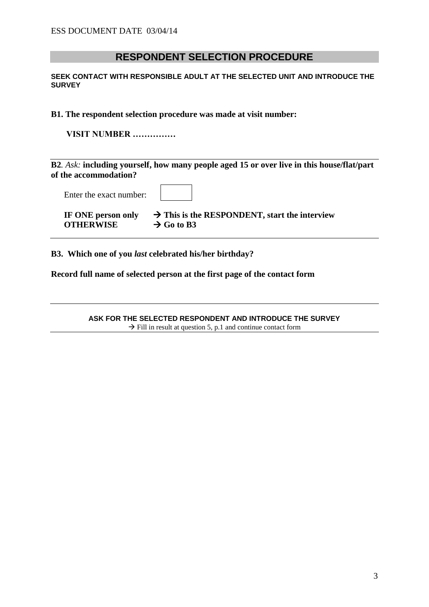# **RESPONDENT SELECTION PROCEDURE**

**SEEK CONTACT WITH RESPONSIBLE ADULT AT THE SELECTED UNIT AND INTRODUCE THE SURVEY** 

**B1. The respondent selection procedure was made at visit number:**

**VISIT NUMBER ……………**

**B2***. Ask:* **including yourself, how many people aged 15 or over live in this house/flat/part of the accommodation?**

| Enter the exact number: |                                                           |
|-------------------------|-----------------------------------------------------------|
| IF ONE person only      | $\rightarrow$ This is the RESPONDENT, start the interview |
| <b>OTHERWISE</b>        | $\rightarrow$ Go to B3                                    |

**B3. Which one of you** *last* **celebrated his/her birthday?** 

**Record full name of selected person at the first page of the contact form**

**ASK FOR THE SELECTED RESPONDENT AND INTRODUCE THE SURVEY**  $\rightarrow$  Fill in result at question 5, p.1 and continue contact form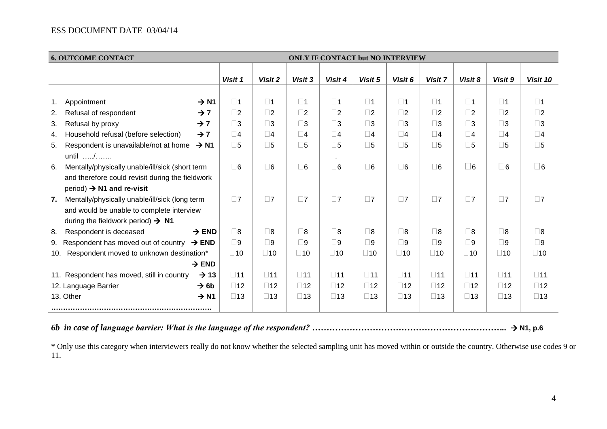# ESS DOCUMENT DATE 03/04/14

| <b>6. OUTCOME CONTACT</b>                                       | <b>ONLY IF CONTACT but NO INTERVIEW</b> |              |              |              |              |              |              |              |              |              |
|-----------------------------------------------------------------|-----------------------------------------|--------------|--------------|--------------|--------------|--------------|--------------|--------------|--------------|--------------|
|                                                                 | Visit 1                                 | Visit 2      | Visit 3      | Visit 4      | Visit 5      | Visit 6      | Visit 7      | Visit 8      | Visit 9      | Visit 10     |
|                                                                 |                                         |              |              |              |              |              |              |              |              |              |
| $\rightarrow$ N1<br>Appointment<br>1.                           | $\square$ 1                             | $\square$ 1  | $\Box$ 1     | $\square$ 1  | $\square$ 1  | $\square$ 1  | $\square$ 1  | $\square$ 1  | $\square$ 1  | $\square$ 1  |
| Refusal of respondent<br>$\rightarrow$ 7<br>2.                  | $\square$                               | $\square$ 2  | $\square$ 2  | $\square$ 2  | $\square$ 2  | $\square$ 2  | $\square$ 2  | $\square$ 2  | $\square$ 2  | $\square$ 2  |
| 3.<br>Refusal by proxy<br>$\rightarrow$ 7                       | $\square$ 3                             | $\square$ 3  | $\square$ 3  | $\square$ 3  | $\square$ 3  | $\square$ 3  | $\square$ 3  | $\square$ 3  | $\square$ 3  | $\square$ 3  |
| Household refusal (before selection)<br>$\rightarrow$ 7<br>4.   | $\square$ 4                             | $\square$ 4  | $\square$ 4  | $\square$ 4  | $\square$ 4  | $\square$ 4  | $\square$ 4  | $\square$ 4  | $\square$ 4  | $\square$ 4  |
| Respondent is unavailable/not at home<br>$\rightarrow$ N1<br>5. | $\square$                               | $\square$    | $\square$ 5  | $\square$ 5  | $\square$ 5  | $\square$ 5  | $\square$    | $\square$ 5  | $\square$ 5  | $\square$    |
| until /                                                         |                                         |              |              |              |              |              |              |              |              |              |
| Mentally/physically unable/ill/sick (short term<br>6.           | $\square$ 6                             | $\square$ 6  | $\square$ 6  | $\square$ 6  | $\square$ 6  | $\square$ 6  | $\square$ 6  | $\square$ 6  | $\Box$ 6     | $\square$ 6  |
| and therefore could revisit during the fieldwork                |                                         |              |              |              |              |              |              |              |              |              |
| $period$ ) $\rightarrow$ N1 and re-visit                        |                                         |              |              |              |              |              |              |              |              |              |
| Mentally/physically unable/ill/sick (long term<br>7.            | $\square$ 7                             | $\Box$ 7     | $\Box$ 7     | $\square$ 7  | $\square$ 7  | $\square$ 7  | $\Box$ 7     | $\square$ 7  | $\square$ 7  | $\square$ 7  |
| and would be unable to complete interview                       |                                         |              |              |              |              |              |              |              |              |              |
| during the fieldwork period) $\rightarrow$ N1                   |                                         |              |              |              |              |              |              |              |              |              |
| $\rightarrow$ END<br>Respondent is deceased<br>-8.              | $\square$ 8                             | $\square$    | $\square$ 8  | $\square$ 8  | $\square$ 8  | $\square$ 8  | $\square$ 8  | $\square$ 8  | $\square$ 8  | $\square$ 8  |
| Respondent has moved out of country<br>$\rightarrow$ END<br>9.  | $\square$ 9                             | $\square$    | $\square$    | $\square$ 9  | $\square$ 9  | $\square$ 9  | $\square$ 9  | $\square$    | $\square$ 9  | $\square$    |
| Respondent moved to unknown destination*<br>10.                 | $\square$ 10                            | $\square$ 10 | $\Box$ 10    | $\square$ 10 | $\square$ 10 | $\square$ 10 | $\Box$ 10    | $\square$ 10 | $\square$ 10 | $\square$ 10 |
| $\rightarrow$ END                                               |                                         |              |              |              |              |              |              |              |              |              |
| 11. Respondent has moved, still in country<br>$\rightarrow$ 13  | $\square$ 11                            | $\square$ 11 | $\square$ 11 | $\square$ 11 | $\square$ 11 | $\square$ 11 | $\square$ 11 | $\square$ 11 | $\square$ 11 | $\square$ 11 |
| 12. Language Barrier<br>$\rightarrow$ 6b                        | $\square$ 12                            | $\square$ 12 | $\square$ 12 | $\square$ 12 | $\square$ 12 | $\square$ 12 | $\square$ 12 | $\square$ 12 | $\square$ 12 | $\square$ 12 |
| 13. Other<br>$\rightarrow$ N1                                   | $\square$ 13                            | $\square$ 13 | $\square$ 13 | $\square$ 13 | $\square$ 13 | $\square$ 13 | $\square$ 13 | $\square$ 13 | $\square$ 13 | $\square$ 13 |
|                                                                 |                                         |              |              |              |              |              |              |              |              |              |

*6b in case of language barrier: What is the language of the respondent? …………………………………………………………..* **N1, p.6**

\* Only use this category when interviewers really do not know whether the selected sampling unit has moved within or outside the country. Otherwise use codes 9 or 11.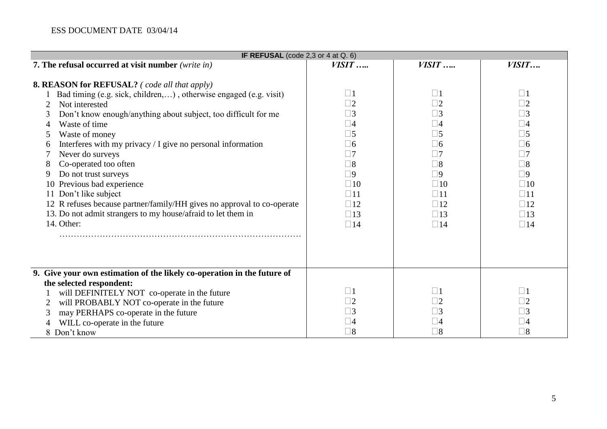# ESS DOCUMENT DATE 03/04/14

| IF REFUSAL (code $2,3$ or $4$ at $Q.6$ )                                                                                                                                                                                                                                                                                                                                                                                                                                                                                                                                                                                               |                                                                                                                                                                                                       |                                                                                                                                                                                                       |                                                                                                                                                                                                       |  |  |  |  |
|----------------------------------------------------------------------------------------------------------------------------------------------------------------------------------------------------------------------------------------------------------------------------------------------------------------------------------------------------------------------------------------------------------------------------------------------------------------------------------------------------------------------------------------------------------------------------------------------------------------------------------------|-------------------------------------------------------------------------------------------------------------------------------------------------------------------------------------------------------|-------------------------------------------------------------------------------------------------------------------------------------------------------------------------------------------------------|-------------------------------------------------------------------------------------------------------------------------------------------------------------------------------------------------------|--|--|--|--|
| 7. The refusal occurred at visit number (write in)                                                                                                                                                                                                                                                                                                                                                                                                                                                                                                                                                                                     | $VISIT$                                                                                                                                                                                               | $VISIT$                                                                                                                                                                                               | VISIT                                                                                                                                                                                                 |  |  |  |  |
| <b>8. REASON for REFUSAL?</b> (code all that apply)<br>Bad timing (e.g. sick, children, ), otherwise engaged (e.g. visit)<br>Not interested<br>2<br>Don't know enough/anything about subject, too difficult for me<br>3<br>Waste of time<br>4<br>Waste of money<br>5<br>Interferes with my privacy / I give no personal information<br>6<br>Never do surveys<br>Co-operated too often<br>8<br>Do not trust surveys<br>9<br>10 Previous bad experience<br>11 Don't like subject<br>12 R refuses because partner/family/HH gives no approval to co-operate<br>13. Do not admit strangers to my house/afraid to let them in<br>14. Other: | $\square$ 1<br>$\square$ 2<br>$\square$ 3<br>$\square$ 4<br>$\Box 5$<br>$\Box$ 6<br>$\Box$ 7<br>$\Box$ 8<br>$\square$<br>$\square$ 10<br>$\square$ 11<br>$\square$ 12<br>$\square$ 13<br>$\square$ 14 | $\Box$ 1<br>$\Box$ 2<br>$\square$ 3<br>$\square 4$<br>$\square$ 5<br>$\square$ 6<br>$\Box 7$<br>$\square$ 8<br>$\square$<br>$\Box$ 10<br>$\square$ 11<br>$\square$ 12<br>$\square$ 13<br>$\square$ 14 | $\Box$ 1<br>$\square$ 2<br>$\square$ 3<br>$\square$ 4<br>$\square$ 5<br>$\Box$ 6<br>$\Box$ 7<br>$\square$ 8<br>$\square$<br>$\Box$ 10<br>$\square$ 11<br>$\square$ 12<br>$\square$ 13<br>$\square$ 14 |  |  |  |  |
| 9. Give your own estimation of the likely co-operation in the future of<br>the selected respondent:<br>will DEFINITELY NOT co-operate in the future<br>will PROBABLY NOT co-operate in the future<br>may PERHAPS co-operate in the future<br>3<br>WILL co-operate in the future<br>8 Don't know                                                                                                                                                                                                                                                                                                                                        | $\square$ 1<br>$\square$ 2<br>$\square$ 3<br>$\square$ 4<br>$\square$ 8                                                                                                                               | $\Box$ 1<br>$\Box 2$<br>$\Box$ 3<br>$\sqcup 4$<br>$\square 8$                                                                                                                                         | $\Box$ 1<br>$\Box 2$<br>$\square$ 3<br>$\square$ 4<br>$\square 8$                                                                                                                                     |  |  |  |  |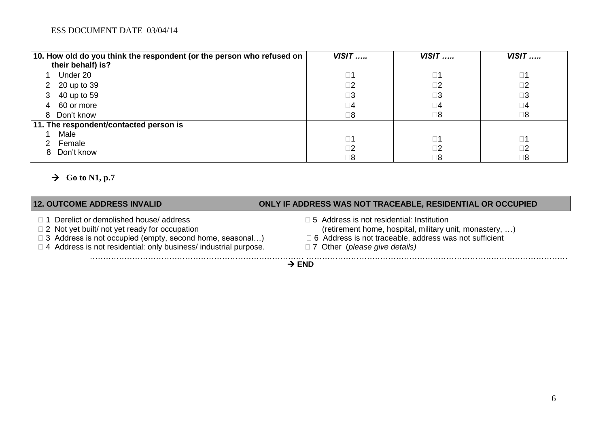| 10. How old do you think the respondent (or the person who refused on | $VISIT$     | $VISIT$     | $VISIT$     |
|-----------------------------------------------------------------------|-------------|-------------|-------------|
| their behalf) is?                                                     |             |             |             |
| Under 20                                                              | $\square$ 1 | $\square$ 1 | $\square$ 1 |
| 2 20 up to 39                                                         | $\square$ 2 | $\square$   | $\square$ 2 |
| 40 up to 59<br>3                                                      | $\square 3$ | $\square 3$ | $\square 3$ |
| 60 or more<br>4                                                       | $\square 4$ | $\square 4$ | $\square 4$ |
| 8 Don't know                                                          | $\square 8$ | $\square 8$ | $\square$ 8 |
| 11. The respondent/contacted person is                                |             |             |             |
| Male                                                                  | $\square$ 1 | $\square$ 1 | $\square$ 1 |
| Female                                                                |             |             |             |
| Don't know<br>8                                                       | $\square 2$ | $\square$ 2 | $\square$ 2 |
|                                                                       | $\square 8$ | $\square$ 8 | $\square 8$ |

# $\rightarrow$  Go to N1, p.7

| <b>12. OUTCOME ADDRESS INVALID</b>                                                                                                                                                                                                         | ONLY IF ADDRESS WAS NOT TRACEABLE, RESIDENTIAL OR OCCUPIED                                                                                                                                                      |
|--------------------------------------------------------------------------------------------------------------------------------------------------------------------------------------------------------------------------------------------|-----------------------------------------------------------------------------------------------------------------------------------------------------------------------------------------------------------------|
| □ 1 Derelict or demolished house/ address<br>$\Box$ 2 Not yet built/ not yet ready for occupation<br>$\Box$ 3 Address is not occupied (empty, second home, seasonal)<br>□ 4 Address is not residential: only business/ industrial purpose. | $\Box$ 5 Address is not residential: Institution<br>(retirement home, hospital, military unit, monastery, )<br>□ 6 Address is not traceable, address was not sufficient<br>$\Box$ 7 Other (please give details) |
| $\rightarrow$ END                                                                                                                                                                                                                          |                                                                                                                                                                                                                 |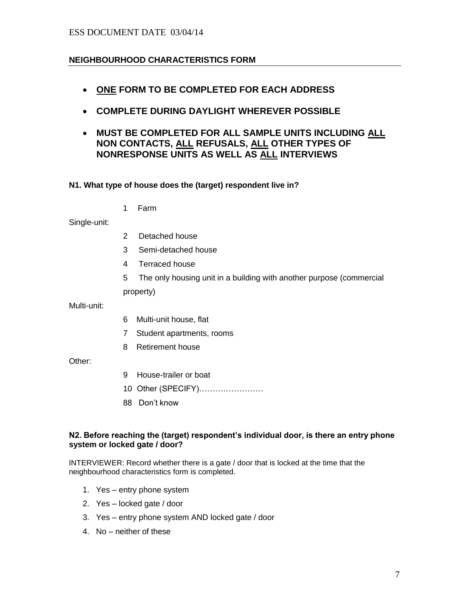# ESS DOCUMENT DATE 03/04/14

# **NEIGHBOURHOOD CHARACTERISTICS FORM**

- **ONE FORM TO BE COMPLETED FOR EACH ADDRESS**
- **COMPLETE DURING DAYLIGHT WHEREVER POSSIBLE**
- **MUST BE COMPLETED FOR ALL SAMPLE UNITS INCLUDING ALL NON CONTACTS, ALL REFUSALS, ALL OTHER TYPES OF NONRESPONSE UNITS AS WELL AS ALL INTERVIEWS**

### **N1. What type of house does the (target) respondent live in?**

1 Farm

Single-unit:

- 2 Detached house
- 3 Semi-detached house
- 4 Terraced house
- 5 The only housing unit in a building with another purpose (commercial property)

Multi-unit:

- 6 Multi-unit house, flat
- 7 Student apartments, rooms
- 8 Retirement house

Other:

- 9 House-trailer or boat
- 10 Other (SPECIFY)……………………
- 88 Don't know

### **N2. Before reaching the (target) respondent's individual door, is there an entry phone system or locked gate / door?**

INTERVIEWER: Record whether there is a gate / door that is locked at the time that the neighbourhood characteristics form is completed.

- 1. Yes entry phone system
- 2. Yes locked gate / door
- 3. Yes entry phone system AND locked gate / door
- 4. No neither of these